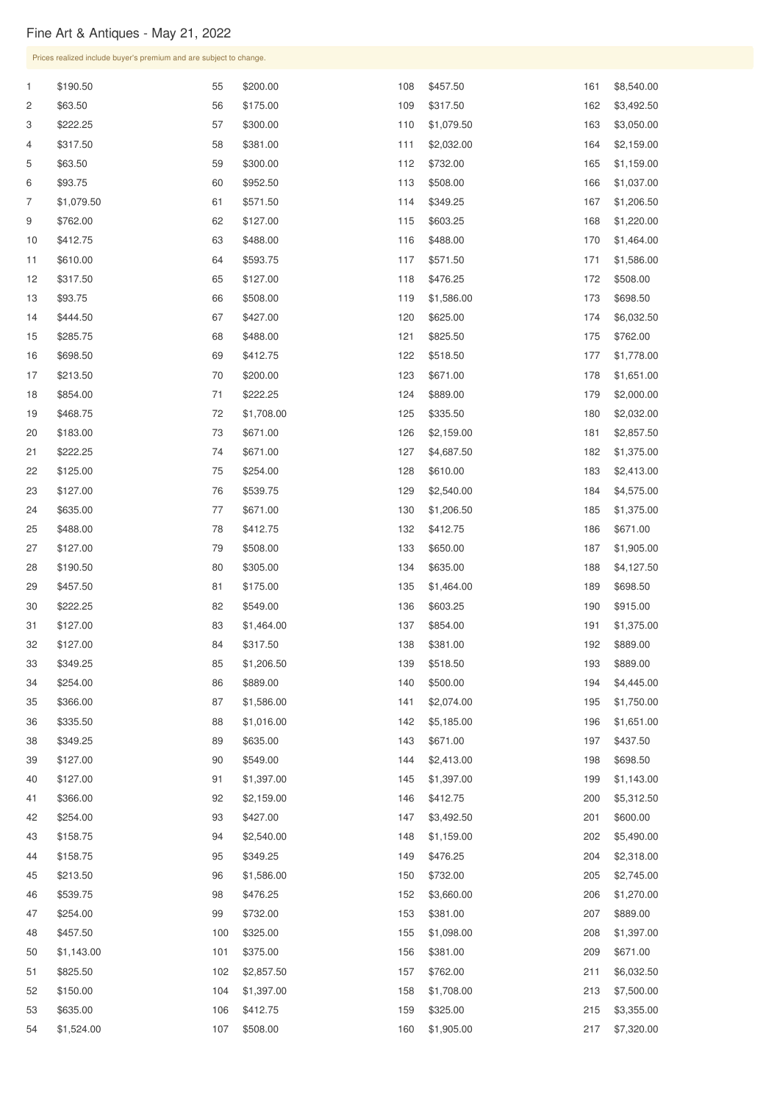## Fine Art & Antiques - May 21, 2022

|                | Prices realized include buyer's premium and are subject to change. |            |                      |            |                        |            |                        |  |
|----------------|--------------------------------------------------------------------|------------|----------------------|------------|------------------------|------------|------------------------|--|
| $\mathbf{1}$   | \$190.50                                                           | 55         | \$200.00             | 108        | \$457.50               | 161        | \$8,540.00             |  |
| $\overline{2}$ | \$63.50                                                            | 56         | \$175.00             | 109        | \$317.50               | 162        | \$3,492.50             |  |
| 3              | \$222.25                                                           | 57         | \$300.00             | 110        | \$1,079.50             | 163        | \$3,050.00             |  |
| 4              | \$317.50                                                           | 58         | \$381.00             | 111        | \$2,032.00             | 164        | \$2,159.00             |  |
| 5              | \$63.50                                                            | 59         | \$300.00             | 112        | \$732.00               | 165        | \$1,159.00             |  |
| 6              | \$93.75                                                            | 60         | \$952.50             | 113        | \$508.00               | 166        | \$1,037.00             |  |
| $\overline{7}$ | \$1,079.50                                                         | 61         | \$571.50             | 114        | \$349.25               | 167        | \$1,206.50             |  |
| 9              | \$762.00                                                           | 62         | \$127.00             | 115        | \$603.25               | 168        | \$1,220.00             |  |
| 10             | \$412.75                                                           | 63         | \$488.00             | 116        | \$488.00               | 170        | \$1,464.00             |  |
| 11             | \$610.00                                                           | 64         | \$593.75             | 117        | \$571.50               | 171        | \$1,586.00             |  |
| 12             | \$317.50                                                           | 65         | \$127.00             | 118        | \$476.25               | 172        | \$508.00               |  |
| 13             | \$93.75                                                            | 66         | \$508.00             | 119        | \$1,586.00             | 173        | \$698.50               |  |
| 14             | \$444.50                                                           | 67         | \$427.00             | 120        | \$625.00               | 174        | \$6,032.50             |  |
| 15             | \$285.75                                                           | 68         | \$488.00             | 121        | \$825.50               | 175        | \$762.00               |  |
| 16             | \$698.50                                                           | 69         | \$412.75             | 122        | \$518.50               | 177        | \$1,778.00             |  |
| 17             | \$213.50                                                           | 70         | \$200.00             | 123        | \$671.00               | 178        | \$1,651.00             |  |
| 18             | \$854.00                                                           | 71         | \$222.25             | 124        | \$889.00               | 179        | \$2,000.00             |  |
| 19             | \$468.75                                                           | 72         | \$1,708.00           | 125        | \$335.50               | 180        | \$2,032.00             |  |
| 20             | \$183.00                                                           | 73         | \$671.00             | 126        | \$2,159.00             | 181        | \$2,857.50             |  |
| 21             | \$222.25                                                           | 74         | \$671.00             | 127        | \$4,687.50             | 182        | \$1,375.00             |  |
| 22             | \$125.00                                                           | 75         | \$254.00             | 128        | \$610.00               | 183        | \$2,413.00             |  |
| 23             | \$127.00                                                           | 76         | \$539.75             | 129        | \$2,540.00             | 184        | \$4,575.00             |  |
| 24             | \$635.00                                                           | 77         | \$671.00             | 130        | \$1,206.50             | 185        | \$1,375.00             |  |
| 25             | \$488.00                                                           | 78         | \$412.75             | 132        | \$412.75               | 186        | \$671.00               |  |
| 27             | \$127.00                                                           | 79         | \$508.00             | 133        | \$650.00               | 187        | \$1,905.00             |  |
| 28             | \$190.50                                                           | 80         | \$305.00             | 134        | \$635.00               | 188        | \$4,127.50             |  |
| 29             | \$457.50                                                           | 81         | \$175.00             | 135        | \$1,464.00             | 189        | \$698.50               |  |
| 30             | \$222.25                                                           | 82         | \$549.00             | 136        | \$603.25               | 190        | \$915.00               |  |
| 31             | \$127.00                                                           | 83         | \$1,464.00           | 137        | \$854.00               | 191        | \$1,375.00             |  |
| 32             | \$127.00                                                           | 84         | \$317.50             | 138        | \$381.00               | 192        | \$889.00               |  |
| 33             | \$349.25                                                           | 85         | \$1,206.50           | 139        | \$518.50               | 193        | \$889.00               |  |
| 34             | \$254.00                                                           | 86         | \$889.00             | 140        | \$500.00               | 194        | \$4,445.00             |  |
| 35             | \$366.00                                                           | 87         | \$1,586.00           | 141        | \$2,074.00             | 195        | \$1,750.00             |  |
| 36             | \$335.50                                                           | 88         | \$1,016.00           | 142        | \$5,185.00             | 196        | \$1,651.00             |  |
| 38             | \$349.25                                                           | 89         | \$635.00             | 143        | \$671.00               | 197        | \$437.50               |  |
| 39             | \$127.00                                                           | 90         | \$549.00             | 144        | \$2,413.00             | 198        | \$698.50               |  |
| 40             | \$127.00                                                           | 91         | \$1,397.00           | 145        | \$1,397.00             | 199        | \$1,143.00             |  |
| 41             | \$366.00                                                           | 92         | \$2,159.00           | 146        | \$412.75               | 200        | \$5,312.50             |  |
| 42             | \$254.00                                                           | 93         | \$427.00             | 147        | \$3,492.50             | 201        | \$600.00               |  |
| 43             | \$158.75                                                           | 94         | \$2,540.00           | 148        | \$1,159.00             | 202        | \$5,490.00             |  |
| 44             | \$158.75                                                           | 95         | \$349.25             | 149        | \$476.25               | 204        | \$2,318.00             |  |
| 45             | \$213.50                                                           | 96         | \$1,586.00           | 150        | \$732.00               | 205        | \$2,745.00             |  |
| 46             | \$539.75                                                           | 98         | \$476.25             | 152        | \$3,660.00             | 206        | \$1,270.00             |  |
| 47             | \$254.00                                                           | 99         | \$732.00             | 153        | \$381.00               | 207        | \$889.00               |  |
| 48<br>50       | \$457.50<br>\$1,143.00                                             | 100<br>101 | \$325.00<br>\$375.00 | 155<br>156 | \$1,098.00<br>\$381.00 | 208<br>209 | \$1,397.00<br>\$671.00 |  |
| 51             | \$825.50                                                           | 102        | \$2,857.50           | 157        | \$762.00               | 211        | \$6,032.50             |  |
| 52             | \$150.00                                                           | 104        | \$1,397.00           | 158        | \$1,708.00             | 213        | \$7,500.00             |  |
| 53             | \$635.00                                                           | 106        | \$412.75             | 159        | \$325.00               | 215        | \$3,355.00             |  |
| 54             | \$1,524.00                                                         | 107        | \$508.00             | 160        | \$1,905.00             | 217        | \$7,320.00             |  |
|                |                                                                    |            |                      |            |                        |            |                        |  |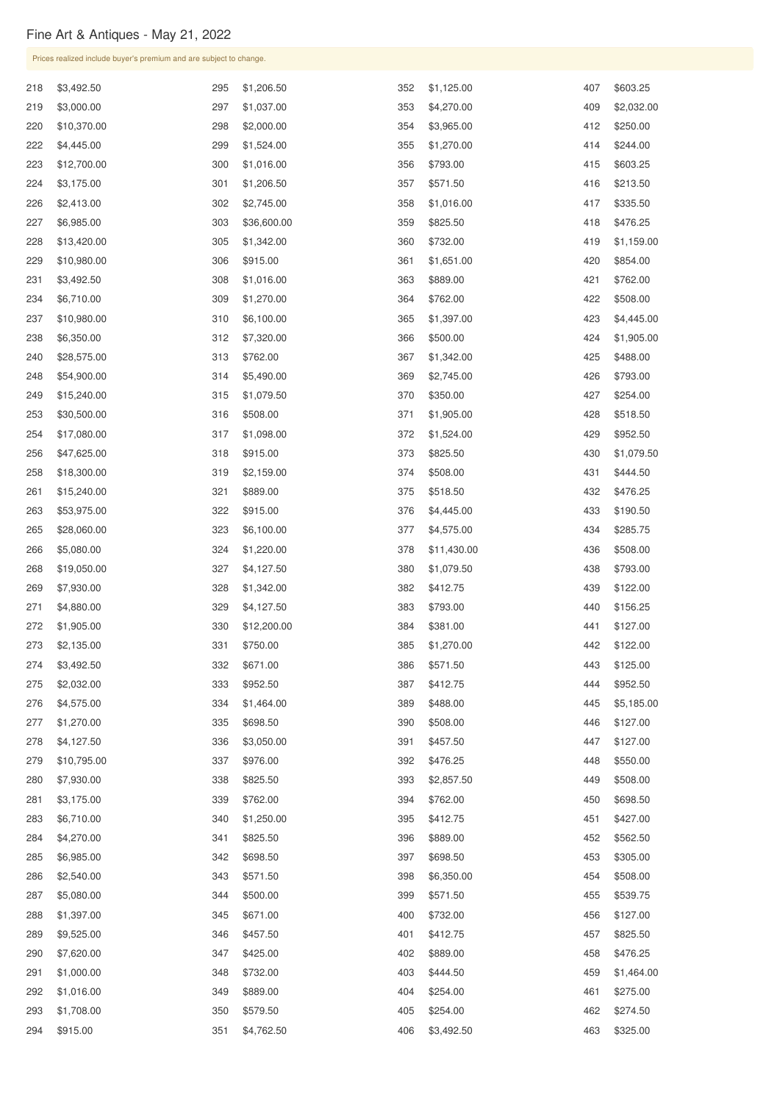## Fine Art & Antiques - May 21, 2022

|     | Prices realized include buyer's premium and are subject to change. |     |             |     |             |     |            |
|-----|--------------------------------------------------------------------|-----|-------------|-----|-------------|-----|------------|
| 218 | \$3,492.50                                                         | 295 | \$1,206.50  | 352 | \$1,125.00  | 407 | \$603.25   |
| 219 | \$3,000.00                                                         | 297 | \$1,037.00  | 353 | \$4,270.00  | 409 | \$2,032.00 |
| 220 | \$10,370.00                                                        | 298 | \$2,000.00  | 354 | \$3,965.00  | 412 | \$250.00   |
| 222 | \$4,445.00                                                         | 299 | \$1,524.00  | 355 | \$1,270.00  | 414 | \$244.00   |
| 223 | \$12,700.00                                                        | 300 | \$1,016.00  | 356 | \$793.00    | 415 | \$603.25   |
| 224 | \$3,175.00                                                         | 301 | \$1,206.50  | 357 | \$571.50    | 416 | \$213.50   |
| 226 | \$2,413.00                                                         | 302 | \$2,745.00  | 358 | \$1,016.00  | 417 | \$335.50   |
| 227 | \$6,985.00                                                         | 303 | \$36,600.00 | 359 | \$825.50    | 418 | \$476.25   |
| 228 | \$13,420.00                                                        | 305 | \$1,342.00  | 360 | \$732.00    | 419 | \$1,159.00 |
| 229 | \$10,980.00                                                        | 306 | \$915.00    | 361 | \$1,651.00  | 420 | \$854.00   |
| 231 | \$3,492.50                                                         | 308 | \$1,016.00  | 363 | \$889.00    | 421 | \$762.00   |
| 234 | \$6,710.00                                                         | 309 | \$1,270.00  | 364 | \$762.00    | 422 | \$508.00   |
| 237 | \$10,980.00                                                        | 310 | \$6,100.00  | 365 | \$1,397.00  | 423 | \$4,445.00 |
| 238 | \$6,350.00                                                         | 312 | \$7,320.00  | 366 | \$500.00    | 424 | \$1,905.00 |
| 240 | \$28,575.00                                                        | 313 | \$762.00    | 367 | \$1,342.00  | 425 | \$488.00   |
| 248 | \$54,900.00                                                        | 314 | \$5,490.00  | 369 | \$2,745.00  | 426 | \$793.00   |
| 249 | \$15,240.00                                                        | 315 | \$1,079.50  | 370 | \$350.00    | 427 | \$254.00   |
| 253 | \$30,500.00                                                        | 316 | \$508.00    | 371 | \$1,905.00  | 428 | \$518.50   |
| 254 | \$17,080.00                                                        | 317 | \$1,098.00  | 372 | \$1,524.00  | 429 | \$952.50   |
| 256 | \$47,625.00                                                        | 318 | \$915.00    | 373 | \$825.50    | 430 | \$1,079.50 |
| 258 | \$18,300.00                                                        | 319 | \$2,159.00  | 374 | \$508.00    | 431 | \$444.50   |
| 261 | \$15,240.00                                                        | 321 | \$889.00    | 375 | \$518.50    | 432 | \$476.25   |
| 263 | \$53,975.00                                                        | 322 | \$915.00    | 376 | \$4,445.00  | 433 | \$190.50   |
| 265 | \$28,060.00                                                        | 323 | \$6,100.00  | 377 | \$4,575.00  | 434 | \$285.75   |
| 266 | \$5,080.00                                                         | 324 | \$1,220.00  | 378 | \$11,430.00 | 436 | \$508.00   |
| 268 | \$19,050.00                                                        | 327 | \$4,127.50  | 380 | \$1,079.50  | 438 | \$793.00   |
| 269 | \$7,930.00                                                         | 328 | \$1,342.00  | 382 | \$412.75    | 439 | \$122.00   |
| 271 | \$4,880.00                                                         | 329 | \$4,127.50  | 383 | \$793.00    | 440 | \$156.25   |
| 272 | \$1,905.00                                                         | 330 | \$12,200.00 | 384 | \$381.00    | 441 | \$127.00   |
| 273 | \$2,135.00                                                         | 331 | \$750.00    | 385 | \$1,270.00  | 442 | \$122.00   |
| 274 | \$3,492.50                                                         | 332 | \$671.00    | 386 | \$571.50    | 443 | \$125.00   |
| 275 | \$2,032.00                                                         | 333 | \$952.50    | 387 | \$412.75    | 444 | \$952.50   |
| 276 | \$4,575.00                                                         | 334 | \$1,464.00  | 389 | \$488.00    | 445 | \$5,185.00 |
| 277 | \$1,270.00                                                         | 335 | \$698.50    | 390 | \$508.00    | 446 | \$127.00   |
| 278 | \$4,127.50                                                         | 336 | \$3,050.00  | 391 | \$457.50    | 447 | \$127.00   |
| 279 | \$10,795.00                                                        | 337 | \$976.00    | 392 | \$476.25    | 448 | \$550.00   |
| 280 | \$7,930.00                                                         | 338 | \$825.50    | 393 | \$2,857.50  | 449 | \$508.00   |
| 281 | \$3,175.00                                                         | 339 | \$762.00    | 394 | \$762.00    | 450 | \$698.50   |
| 283 | \$6,710.00                                                         | 340 | \$1,250.00  | 395 | \$412.75    | 451 | \$427.00   |

| 284 | \$4,270.00 | 341 | \$825.50   | 396 | \$889.00   | 452 | \$562.50   |
|-----|------------|-----|------------|-----|------------|-----|------------|
| 285 | \$6,985.00 | 342 | \$698.50   | 397 | \$698.50   | 453 | \$305.00   |
| 286 | \$2,540.00 | 343 | \$571.50   | 398 | \$6,350.00 | 454 | \$508.00   |
| 287 | \$5,080.00 | 344 | \$500.00   | 399 | \$571.50   | 455 | \$539.75   |
| 288 | \$1,397.00 | 345 | \$671.00   | 400 | \$732.00   | 456 | \$127.00   |
| 289 | \$9,525.00 | 346 | \$457.50   | 401 | \$412.75   | 457 | \$825.50   |
| 290 | \$7,620.00 | 347 | \$425.00   | 402 | \$889.00   | 458 | \$476.25   |
| 291 | \$1,000.00 | 348 | \$732.00   | 403 | \$444.50   | 459 | \$1,464.00 |
| 292 | \$1,016.00 | 349 | \$889.00   | 404 | \$254.00   | 461 | \$275.00   |
| 293 | \$1,708.00 | 350 | \$579.50   | 405 | \$254.00   | 462 | \$274.50   |
| 294 | \$915.00   | 351 | \$4,762.50 | 406 | \$3,492.50 | 463 | \$325.00   |